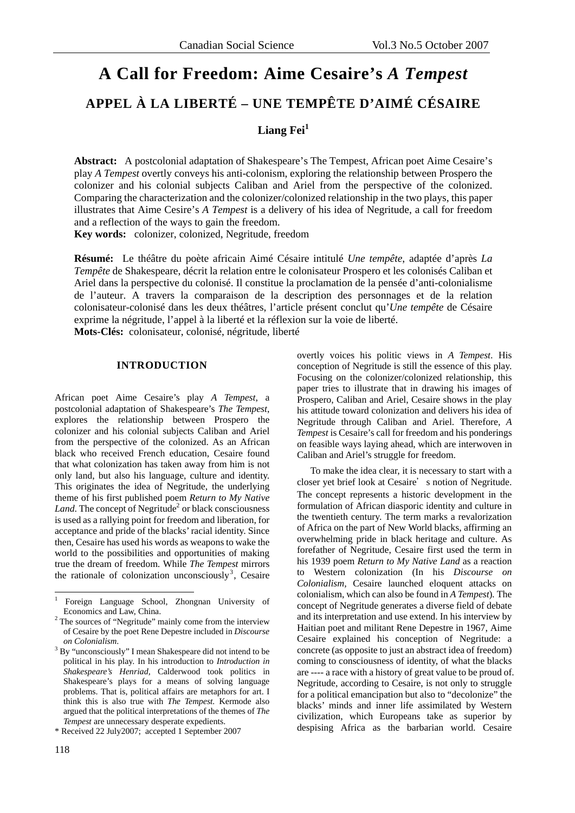# **A Call for Freedom: Aime Cesaire's** *A Tempest* **APPEL À LA LIBERTÉ – UNE TEMPÊTE D'AIMÉ CÉSAIRE**

## **Liang Fei<sup>1</sup>**

**Abstract:** A postcolonial adaptation of Shakespeare's The Tempest, African poet Aime Cesaire's play *A Tempest* overtly conveys his anti-colonism, exploring the relationship between Prospero the colonizer and his colonial subjects Caliban and Ariel from the perspective of the colonized. Comparing the characterization and the colonizer/colonized relationship in the two plays, this paper illustrates that Aime Cesire's *A Tempest* is a delivery of his idea of Negritude, a call for freedom and a reflection of the ways to gain the freedom.

**Key words:** colonizer, colonized, Negritude, freedom

**Résumé:** Le théâtre du poète africain Aimé Césaire intitulé *Une tempête*, adaptée d'après *La Tempête* de Shakespeare, décrit la relation entre le colonisateur Prospero et les colonisés Caliban et Ariel dans la perspective du colonisé. Il constitue la proclamation de la pensée d'anti-colonialisme de l'auteur. A travers la comparaison de la description des personnages et de la relation colonisateur-colonisé dans les deux théâtres, l'article présent conclut qu'*Une tempête* de Césaire exprime la négritude, l'appel à la liberté et la réflexion sur la voie de liberté. **Mots-Clés:** colonisateur, colonisé, négritude, liberté

#### **INTRODUCTION**

African poet Aime Cesaire's play *A Tempest*, a postcolonial adaptation of Shakespeare's *The Tempest*, explores the relationship between Prospero the colonizer and his colonial subjects Caliban and Ariel from the perspective of the colonized. As an African black who received French education, Cesaire found that what colonization has taken away from him is not only land, but also his language, culture and identity. This originates the idea of Negritude, the underlying theme of his first published poem *Return to My Native*  Land. The concept of Negritude<sup>2</sup> or black consciousness is used as a rallying point for freedom and liberation, for acceptance and pride of the blacks' racial identity. Since then, Cesaire has used his words as weapons to wake the world to the possibilities and opportunities of making true the dream of freedom. While *The Tempest* mirrors the rationale of colonization unconsciously<sup>3</sup>, Cesaire

\* Received 22 July2007; accepted 1 September 2007

 $\overline{a}$ 

overtly voices his politic views in *A Tempest*. His conception of Negritude is still the essence of this play. Focusing on the colonizer/colonized relationship, this paper tries to illustrate that in drawing his images of Prospero, Caliban and Ariel, Cesaire shows in the play his attitude toward colonization and delivers his idea of Negritude through Caliban and Ariel. Therefore, *A Tempest* is Cesaire's call for freedom and his ponderings on feasible ways laying ahead, which are interwoven in Caliban and Ariel's struggle for freedom.

To make the idea clear, it is necessary to start with a closer yet brief look at Cesaire's notion of Negritude. The concept represents a historic development in the formulation of African diasporic identity and culture in the twentieth century. The term marks a revalorization of Africa on the part of New World blacks, affirming an overwhelming pride in black heritage and culture. As forefather of Negritude, Cesaire first used the term in his 1939 poem *Return to My Native Land* as a reaction to Western colonization (In his *Discourse on Colonialism,* Cesaire launched eloquent attacks on colonialism, which can also be found in *A Tempest*)*.* The concept of Negritude generates a diverse field of debate and its interpretation and use extend. In his interview by Haitian poet and militant Rene Depestre in 1967, Aime Cesaire explained his conception of Negritude: a concrete (as opposite to just an abstract idea of freedom) coming to consciousness of identity, of what the blacks are ---- a race with a history of great value to be proud of. Negritude, according to Cesaire, is not only to struggle for a political emancipation but also to "decolonize" the blacks' minds and inner life assimilated by Western civilization, which Europeans take as superior by despising Africa as the barbarian world. Cesaire

<sup>1</sup> Foreign Language School, Zhongnan University of

Economics and Law, China.<br><sup>2</sup> The sources of "Negritude" mainly come from the interview of Cesaire by the poet Rene Depestre included in *Discourse on Colonialism*. 3

<sup>&</sup>lt;sup>3</sup> By "unconsciously" I mean Shakespeare did not intend to be political in his play. In his introduction to *Introduction in Shakespeare's Henriad,* Calderwood took politics in Shakespeare's plays for a means of solving language problems. That is, political affairs are metaphors for art. I think this is also true with *The Tempest.* Kermode also argued that the political interpretations of the themes of *The Tempest* are unnecessary desperate expedients.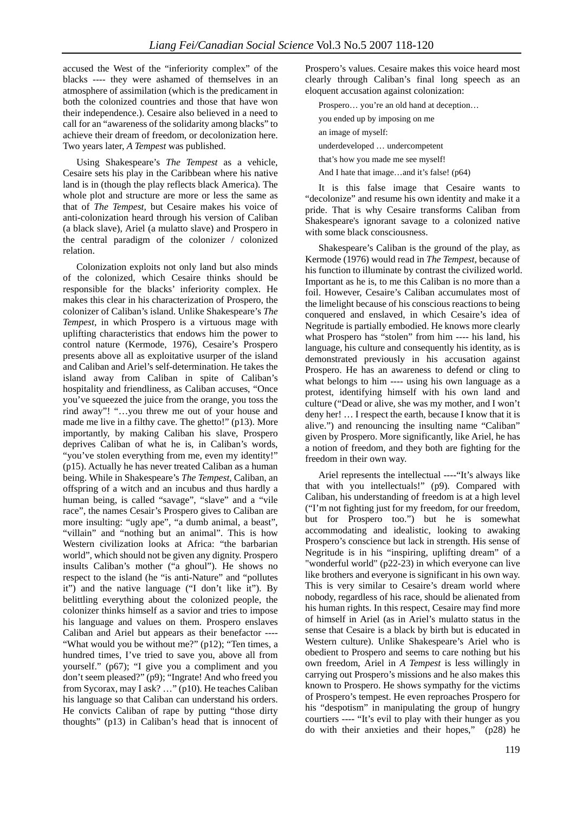accused the West of the "inferiority complex" of the blacks ---- they were ashamed of themselves in an atmosphere of assimilation (which is the predicament in both the colonized countries and those that have won their independence.). Cesaire also believed in a need to call for an "awareness of the solidarity among blacks" to achieve their dream of freedom, or decolonization here. Two years later, *A Tempest* was published.

Using Shakespeare's *The Tempest* as a vehicle, Cesaire sets his play in the Caribbean where his native land is in (though the play reflects black America). The whole plot and structure are more or less the same as that of *The Tempest,* but Cesaire makes his voice of anti-colonization heard through his version of Caliban (a black slave), Ariel (a mulatto slave) and Prospero in the central paradigm of the colonizer / colonized relation.

Colonization exploits not only land but also minds of the colonized, which Cesaire thinks should be responsible for the blacks' inferiority complex. He makes this clear in his characterization of Prospero, the colonizer of Caliban's island. Unlike Shakespeare's *The Tempest*, in which Prospero is a virtuous mage with uplifting characteristics that endows him the power to control nature (Kermode, 1976), Cesaire's Prospero presents above all as exploitative usurper of the island and Caliban and Ariel's self-determination. He takes the island away from Caliban in spite of Caliban's hospitality and friendliness, as Caliban accuses, "Once you've squeezed the juice from the orange, you toss the rind away"! "…you threw me out of your house and made me live in a filthy cave. The ghetto!" (p13). More importantly, by making Caliban his slave, Prospero deprives Caliban of what he is, in Caliban's words, "you've stolen everything from me, even my identity!" (p15). Actually he has never treated Caliban as a human being. While in Shakespeare's *The Tempest*, Caliban, an offspring of a witch and an incubus and thus hardly a human being, is called "savage", "slave" and a "vile race", the names Cesair's Prospero gives to Caliban are more insulting: "ugly ape", "a dumb animal, a beast", "villain" and "nothing but an animal". This is how Western civilization looks at Africa: "the barbarian world", which should not be given any dignity. Prospero insults Caliban's mother ("a ghoul"). He shows no respect to the island (he "is anti-Nature" and "pollutes it") and the native language ("I don't like it"). By belittling everything about the colonized people, the colonizer thinks himself as a savior and tries to impose his language and values on them. Prospero enslaves Caliban and Ariel but appears as their benefactor ---- "What would you be without me?" (p12); "Ten times, a hundred times, I've tried to save you, above all from yourself." (p67); "I give you a compliment and you don't seem pleased?" (p9); "Ingrate! And who freed you from Sycorax, may I ask? …" (p10). He teaches Caliban his language so that Caliban can understand his orders. He convicts Caliban of rape by putting "those dirty thoughts" (p13) in Caliban's head that is innocent of Prospero's values. Cesaire makes this voice heard most clearly through Caliban's final long speech as an eloquent accusation against colonization:

Prospero… you're an old hand at deception…

you ended up by imposing on me

an image of myself:

underdeveloped … undercompetent

that's how you made me see myself!

And I hate that image…and it's false! (p64)

It is this false image that Cesaire wants to "decolonize" and resume his own identity and make it a pride. That is why Cesaire transforms Caliban from Shakespeare's ignorant savage to a colonized native with some black consciousness.

Shakespeare's Caliban is the ground of the play, as Kermode (1976) would read in *The Tempest*, because of his function to illuminate by contrast the civilized world. Important as he is, to me this Caliban is no more than a foil. However, Cesaire's Caliban accumulates most of the limelight because of his conscious reactions to being conquered and enslaved, in which Cesaire's idea of Negritude is partially embodied. He knows more clearly what Prospero has "stolen" from him ---- his land, his language, his culture and consequently his identity, as is demonstrated previously in his accusation against Prospero. He has an awareness to defend or cling to what belongs to him ---- using his own language as a protest, identifying himself with his own land and culture ("Dead or alive, she was my mother, and I won't deny her! … I respect the earth, because I know that it is alive.") and renouncing the insulting name "Caliban" given by Prospero. More significantly, like Ariel, he has a notion of freedom, and they both are fighting for the freedom in their own way.

Ariel represents the intellectual ----"It's always like that with you intellectuals!" (p9). Compared with Caliban, his understanding of freedom is at a high level ("I'm not fighting just for my freedom, for our freedom, but for Prospero too.") but he is somewhat accommodating and idealistic, looking to awaking Prospero's conscience but lack in strength. His sense of Negritude is in his "inspiring, uplifting dream" of a "wonderful world" (p22-23) in which everyone can live like brothers and everyone is significant in his own way. This is very similar to Cesaire's dream world where nobody, regardless of his race, should be alienated from his human rights. In this respect, Cesaire may find more of himself in Ariel (as in Ariel's mulatto status in the sense that Cesaire is a black by birth but is educated in Western culture). Unlike Shakespeare's Ariel who is obedient to Prospero and seems to care nothing but his own freedom, Ariel in *A Tempest* is less willingly in carrying out Prospero's missions and he also makes this known to Prospero. He shows sympathy for the victims of Prospero's tempest. He even reproaches Prospero for his "despotism" in manipulating the group of hungry courtiers ---- "It's evil to play with their hunger as you do with their anxieties and their hopes," (p28) he